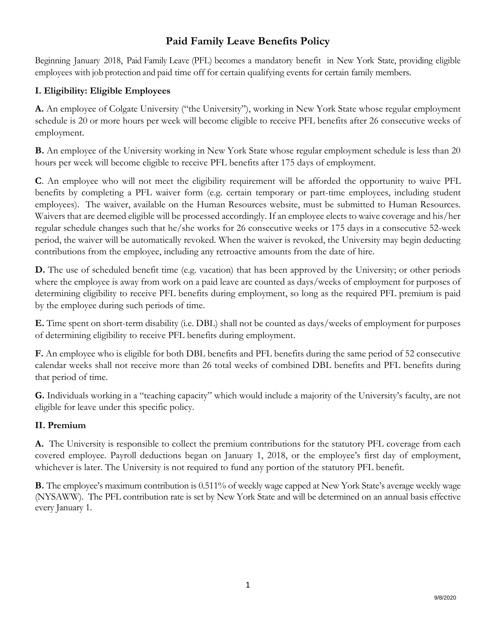# **Paid Family Leave Benefits Policy**

Beginning January 2018, Paid Family Leave (PFL) becomes a mandatory benefit in New York State, providing eligible employees with job protection and paid time off for certain qualifying events for certain family members.

### **I. Eligibility: Eligible Employees**

**A.** An employee of Colgate University ("the University"), working in New York State whose regular employment schedule is 20 or more hours per week will become eligible to receive PFL benefits after 26 consecutive weeks of employment.

**B.** An employee of the University working in New York State whose regular employment schedule is less than 20 hours per week will become eligible to receive PFL benefits after 175 days of employment.

**C**. An employee who will not meet the eligibility requirement will be afforded the opportunity to waive PFL benefits by completing a PFL waiver form (e.g. certain temporary or part-time employees, including student employees). The waiver, available on the Human Resources website, must be submitted to Human Resources. Waivers that are deemed eligible will be processed accordingly. If an employee elects to waive coverage and his/her regular schedule changes such that he/she works for 26 consecutive weeks or 175 days in a consecutive 52-week period, the waiver will be automatically revoked. When the waiver is revoked, the University may begin deducting contributions from the employee, including any retroactive amounts from the date of hire.

**D.** The use of scheduled benefit time (e.g. vacation) that has been approved by the University; or other periods where the employee is away from work on a paid leave are counted as days/weeks of employment for purposes of determining eligibility to receive PFL benefits during employment, so long as the required PFL premium is paid by the employee during such periods of time.

**E.** Time spent on short-term disability (i.e. DBL) shall not be counted as days/weeks of employment for purposes of determining eligibility to receive PFL benefits during employment.

**F.** An employee who is eligible for both DBL benefits and PFL benefits during the same period of 52 consecutive calendar weeks shall not receive more than 26 total weeks of combined DBL benefits and PFL benefits during that period of time.

**G.** Individuals working in a "teaching capacity" which would include a majority of the University's faculty, are not eligible for leave under this specific policy.

### **II. Premium**

**A.** The University is responsible to collect the premium contributions for the statutory PFL coverage from each covered employee. Payroll deductions began on January 1, 2018, or the employee's first day of employment, whichever is later. The University is not required to fund any portion of the statutory PFL benefit.

**B.** The employee's maximum contribution is 0.511% of weekly wage capped at New York State's average weekly wage (NYSAWW). The PFL contribution rate is set by New York State and will be determined on an annual basis effective every January 1.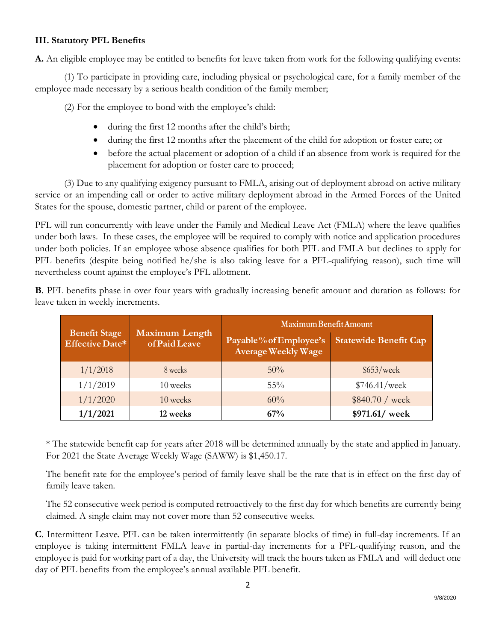### **III. Statutory PFL Benefits**

**A.** An eligible employee may be entitled to benefits for leave taken from work for the following qualifying events:

(1) To participate in providing care, including physical or psychological care, for a family member of the employee made necessary by a serious health condition of the family member;

(2) For the employee to bond with the employee's child:

- during the first 12 months after the child's birth;
- during the first 12 months after the placement of the child for adoption or foster care; or
- before the actual placement or adoption of a child if an absence from work is required for the placement for adoption or foster care to proceed;

(3) Due to any qualifying exigency pursuant to FMLA, arising out of deployment abroad on active military service or an impending call or order to active military deployment abroad in the Armed Forces of the United States for the spouse, domestic partner, child or parent of the employee.

PFL will run concurrently with leave under the Family and Medical Leave Act (FMLA) where the leave qualifies under both laws. In these cases, the employee will be required to comply with notice and application procedures under both policies. If an employee whose absence qualifies for both PFL and FMLA but declines to apply for PFL benefits (despite being notified he/she is also taking leave for a PFL-qualifying reason), such time will nevertheless count against the employee's PFL allotment.

**B**. PFL benefits phase in over four years with gradually increasing benefit amount and duration as follows: for leave taken in weekly increments.

| <b>Benefit Stage</b><br>Effective Date* | <b>Maximum Length</b><br>of Paid Leave | Maximum Benefit Amount                               |                              |
|-----------------------------------------|----------------------------------------|------------------------------------------------------|------------------------------|
|                                         |                                        | Payable% of Employee's<br><b>Average Weekly Wage</b> | <b>Statewide Benefit Cap</b> |
| 1/1/2018                                | 8 weeks                                | $50\%$                                               | \$653/week                   |
| 1/1/2019                                | 10 weeks                               | $55\%$                                               | \$746.41/weak                |
| 1/1/2020                                | 10 weeks                               | 60%                                                  | \$840.70 / week              |
| 1/1/2021                                | 12 weeks                               | 67%                                                  | \$971.61/ week               |

\* The statewide benefit cap for years after 2018 will be determined annually by the state and applied in January. For 2021 the State Average Weekly Wage (SAWW) is \$1,450.17.

The benefit rate for the employee's period of family leave shall be the rate that is in effect on the first day of family leave taken.

The 52 consecutive week period is computed retroactively to the first day for which benefits are currently being claimed. A single claim may not cover more than 52 consecutive weeks.

**C**. Intermittent Leave. PFL can be taken intermittently (in separate blocks of time) in full-day increments. If an employee is taking intermittent FMLA leave in partial-day increments for a PFL-qualifying reason, and the employee is paid for working part of a day, the University will track the hours taken as FMLA and will deduct one day of PFL benefits from the employee's annual available PFL benefit.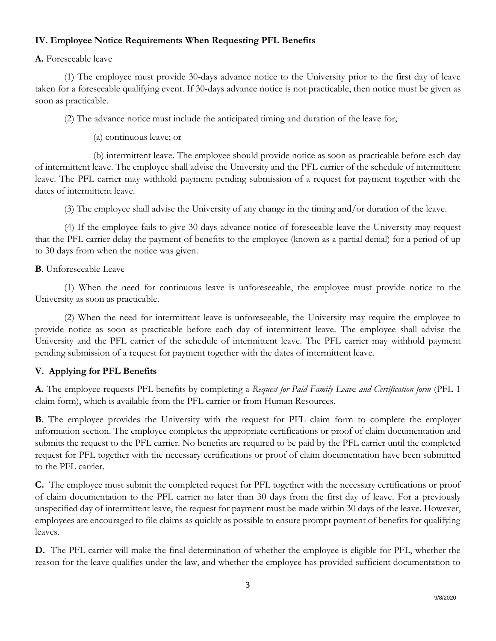### **IV. Employee Notice Requirements When Requesting PFL Benefits**

#### **A.** Foreseeable leave

(1) The employee must provide 30-days advance notice to the University prior to the first day of leave taken for a foreseeable qualifying event. If 30-days advance notice is not practicable, then notice must be given as soon as practicable.

(2) The advance notice must include the anticipated timing and duration of the leave for;

(a) continuous leave; or

(b) intermittent leave. The employee should provide notice as soon as practicable before each day of intermittent leave. The employee shall advise the University and the PFL carrier of the schedule of intermittent leave. The PFL carrier may withhold payment pending submission of a request for payment together with the dates of intermittent leave.

(3) The employee shall advise the University of any change in the timing and/or duration of the leave.

(4) If the employee fails to give 30-days advance notice of foreseeable leave the University may request that the PFL carrier delay the payment of benefits to the employee (known as a partial denial) for a period of up to 30 days from when the notice was given.

#### **B**. Unforeseeable Leave

(1) When the need for continuous leave is unforeseeable, the employee must provide notice to the University as soon as practicable.

(2) When the need for intermittent leave is unforeseeable, the University may require the employee to provide notice as soon as practicable before each day of intermittent leave. The employee shall advise the University and the PFL carrier of the schedule of intermittent leave. The PFL carrier may withhold payment pending submission of a request for payment together with the dates of intermittent leave.

### **V. Applying for PFL Benefits**

**A.** The employee requests PFL benefits by completing a *Request for Paid Family Leav*e *and Certification form* (PFL-1 claim form), which is available from the PFL carrier or from Human Resources.

**B**. The employee provides the University with the request for PFL claim form to complete the employer information section. The employee completes the appropriate certifications or proof of claim documentation and submits the request to the PFL carrier. No benefits are required to be paid by the PFL carrier until the completed request for PFL together with the necessary certifications or proof of claim documentation have been submitted to the PFL carrier.

**C.** The employee must submit the completed request for PFL together with the necessary certifications or proof of claim documentation to the PFL carrier no later than 30 days from the first day of leave. For a previously unspecified day of intermittent leave, the request for payment must be made within 30 days of the leave. However, employees are encouraged to file claims as quickly as possible to ensure prompt payment of benefits for qualifying leaves.

**D.** The PFL carrier will make the final determination of whether the employee is eligible for PFL, whether the reason for the leave qualifies under the law, and whether the employee has provided sufficient documentation to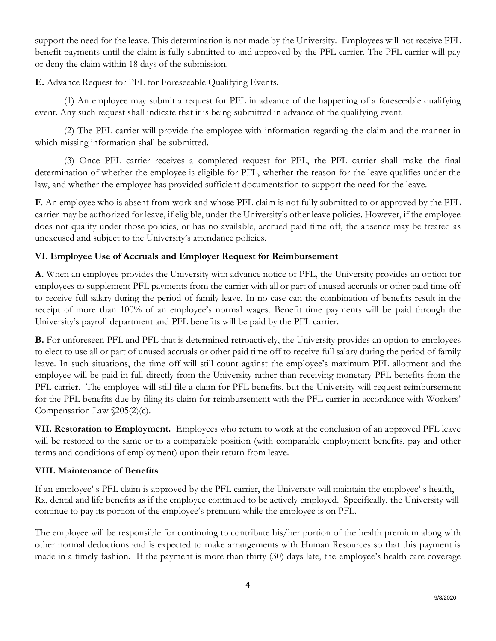support the need for the leave. This determination is not made by the University. Employees will not receive PFL benefit payments until the claim is fully submitted to and approved by the PFL carrier. The PFL carrier will pay or deny the claim within 18 days of the submission.

**E.** Advance Request for PFL for Foreseeable Qualifying Events.

(1) An employee may submit a request for PFL in advance of the happening of a foreseeable qualifying event. Any such request shall indicate that it is being submitted in advance of the qualifying event.

(2) The PFL carrier will provide the employee with information regarding the claim and the manner in which missing information shall be submitted.

(3) Once PFL carrier receives a completed request for PFL, the PFL carrier shall make the final determination of whether the employee is eligible for PFL, whether the reason for the leave qualifies under the law, and whether the employee has provided sufficient documentation to support the need for the leave.

**F**. An employee who is absent from work and whose PFL claim is not fully submitted to or approved by the PFL carrier may be authorized for leave, if eligible, under the University's other leave policies. However, if the employee does not qualify under those policies, or has no available, accrued paid time off, the absence may be treated as unexcused and subject to the University's attendance policies.

## **VI. Employee Use of Accruals and Employer Request for Reimbursement**

**A.** When an employee provides the University with advance notice of PFL, the University provides an option for employees to supplement PFL payments from the carrier with all or part of unused accruals or other paid time off to receive full salary during the period of family leave. In no case can the combination of benefits result in the receipt of more than 100% of an employee's normal wages. Benefit time payments will be paid through the University's payroll department and PFL benefits will be paid by the PFL carrier.

**B.** For unforeseen PFL and PFL that is determined retroactively, the University provides an option to employees to elect to use all or part of unused accruals or other paid time off to receive full salary during the period of family leave. In such situations, the time off will still count against the employee's maximum PFL allotment and the employee will be paid in full directly from the University rather than receiving monetary PFL benefits from the PFL carrier. The employee will still file a claim for PFL benefits, but the University will request reimbursement for the PFL benefits due by filing its claim for reimbursement with the PFL carrier in accordance with Workers' Compensation Law  $\sqrt{205(2)}$ (c).

**VII. Restoration to Employment.** Employees who return to work at the conclusion of an approved PFL leave will be restored to the same or to a comparable position (with comparable employment benefits, pay and other terms and conditions of employment) upon their return from leave.

### **VIII. Maintenance of Benefits**

If an employee' s PFL claim is approved by the PFL carrier, the University will maintain the employee' s health, Rx, dental and life benefits as if the employee continued to be actively employed. Specifically, the University will continue to pay its portion of the employee's premium while the employee is on PFL.

The employee will be responsible for continuing to contribute his/her portion of the health premium along with other normal deductions and is expected to make arrangements with Human Resources so that this payment is made in a timely fashion. If the payment is more than thirty (30) days late, the employee's health care coverage